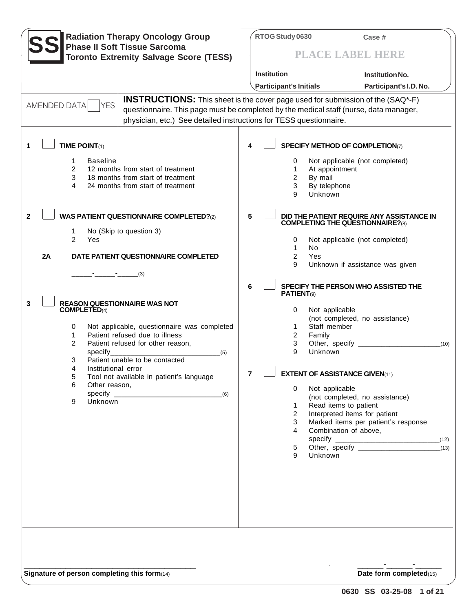| <b>Radiation Therapy Oncology Group</b><br><b>Phase II Soft Tissue Sarcoma</b><br><b>Toronto Extremity Salvage Score (TESS)</b>                                                                                                                                                                                                                                                                                                                                                                                                                          | RTOG Study 0630<br>Case #<br>PLACE LABEL HERE                                                                                                                                                                                                                                                                                                                                                                                                                                                                                                                                                                                                                                                                                    |
|----------------------------------------------------------------------------------------------------------------------------------------------------------------------------------------------------------------------------------------------------------------------------------------------------------------------------------------------------------------------------------------------------------------------------------------------------------------------------------------------------------------------------------------------------------|----------------------------------------------------------------------------------------------------------------------------------------------------------------------------------------------------------------------------------------------------------------------------------------------------------------------------------------------------------------------------------------------------------------------------------------------------------------------------------------------------------------------------------------------------------------------------------------------------------------------------------------------------------------------------------------------------------------------------------|
|                                                                                                                                                                                                                                                                                                                                                                                                                                                                                                                                                          | Institution<br><b>Institution No.</b>                                                                                                                                                                                                                                                                                                                                                                                                                                                                                                                                                                                                                                                                                            |
|                                                                                                                                                                                                                                                                                                                                                                                                                                                                                                                                                          | Participant's Initials<br>Participant's I.D. No.                                                                                                                                                                                                                                                                                                                                                                                                                                                                                                                                                                                                                                                                                 |
| AMENDED DATA<br><b>YES</b><br>physician, etc.) See detailed instructions for TESS questionnaire.                                                                                                                                                                                                                                                                                                                                                                                                                                                         | <b>INSTRUCTIONS:</b> This sheet is the cover page used for submission of the (SAQ*-F)<br>questionnaire. This page must be completed by the medical staff (nurse, data manager,                                                                                                                                                                                                                                                                                                                                                                                                                                                                                                                                                   |
|                                                                                                                                                                                                                                                                                                                                                                                                                                                                                                                                                          |                                                                                                                                                                                                                                                                                                                                                                                                                                                                                                                                                                                                                                                                                                                                  |
| TIME POINT $(1)$<br>1                                                                                                                                                                                                                                                                                                                                                                                                                                                                                                                                    | <b>SPECIFY METHOD OF COMPLETION(7)</b><br>4                                                                                                                                                                                                                                                                                                                                                                                                                                                                                                                                                                                                                                                                                      |
| <b>Baseline</b><br>1<br>2<br>12 months from start of treatment<br>3<br>18 months from start of treatment<br>4<br>24 months from start of treatment                                                                                                                                                                                                                                                                                                                                                                                                       | Not applicable (not completed)<br>0<br>At appointment<br>1<br>By mail<br>2<br>3<br>By telephone<br>g<br>Unknown                                                                                                                                                                                                                                                                                                                                                                                                                                                                                                                                                                                                                  |
| <b>WAS PATIENT QUESTIONNAIRE COMPLETED?(2)</b><br>$\mathbf{2}$<br>No (Skip to question 3)<br>1<br>$\mathcal{P}$<br>Yes<br>2A<br>DATE PATIENT QUESTIONNAIRE COMPLETED<br><b>REASON QUESTIONNAIRE WAS NOT</b><br>3<br><b>COMPLETED(4)</b><br>Not applicable, questionnaire was completed<br>0<br>Patient refused due to illness<br>1<br>2<br>Patient refused for other reason,<br>specify<br>(5)<br>Patient unable to be contacted<br>3<br>4<br>Institutional error<br>5<br>Tool not available in patient's language<br>6<br>Other reason,<br>Unknown<br>9 | 5<br>DID THE PATIENT REQUIRE ANY ASSISTANCE IN<br><b>COMPLETING THE QUESTIONNAIRE?(8)</b><br>0<br>Not applicable (not completed)<br>1<br>No<br>$\overline{2}$<br>Yes<br>9<br>Unknown if assistance was given<br>6<br>SPECIFY THE PERSON WHO ASSISTED THE<br>PATIENT <sub>(9)</sub><br>Not applicable<br>0<br>(not completed, no assistance)<br>Staff member<br>1<br>Family<br>2<br>3<br>(10)<br>9<br>Unknown<br><b>EXTENT OF ASSISTANCE GIVEN(11)</b><br>Not applicable<br>$\Omega$<br>(not completed, no assistance)<br>Read items to patient<br>$\mathbf{1}$<br>Interpreted items for patient<br>$\overline{2}$<br>Marked items per patient's response<br>3<br>Combination of above,<br>4<br>(12)<br>5<br>(13)<br>9<br>Unknown |
|                                                                                                                                                                                                                                                                                                                                                                                                                                                                                                                                                          |                                                                                                                                                                                                                                                                                                                                                                                                                                                                                                                                                                                                                                                                                                                                  |

**Signature of person completing this form**(14) **Date form completed**(15)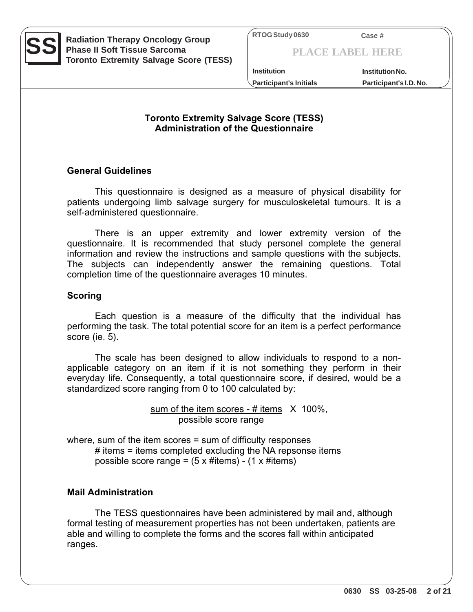

**SS** Radiation Therapy Oncology Group<br> **SS** Phase II Soft Tissue Sarcoma<br>
THERE TO A THERE TO A THERE TO A THERE TO A THERE TO A THERE TO A THERE TO A THERE TO A THERE TO A THERE TO A THERE TO A THERE TO A THEAPER TO A THE **Phase II Soft Tissue Sarcoma Toronto Extremity Salvage Score (TESS)**

**PLACE LABEL HERE**

**Participant's Initials Participant's I.D. No. Institution Institution No.**

## **Toronto Extremity Salvage Score (TESS) Administration of the Questionnaire**

## **General Guidelines**

 This questionnaire is designed as a measure of physical disability for patients undergoing limb salvage surgery for musculoskeletal tumours. It is a self-administered questionnaire.

 There is an upper extremity and lower extremity version of the questionnaire. It is recommended that study personel complete the general information and review the instructions and sample questions with the subjects. The subjects can independently answer the remaining questions. Total completion time of the questionnaire averages 10 minutes.

## **Scoring**

 Each question is a measure of the difficulty that the individual has performing the task. The total potential score for an item is a perfect performance score (ie. 5).

 The scale has been designed to allow individuals to respond to a nonapplicable category on an item if it is not something they perform in their everyday life. Consequently, a total questionnaire score, if desired, would be a standardized score ranging from 0 to 100 calculated by:

> sum of the item scores - # items  $\chi$  100%, possible score range

where, sum of the item scores = sum of difficulty responses # items = items completed excluding the NA repsonse items possible score range =  $(5 \times \text{#items})$  -  $(1 \times \text{#items})$ 

## **Mail Administration**

 The TESS questionnaires have been administered by mail and, although formal testing of measurement properties has not been undertaken, patients are able and willing to complete the forms and the scores fall within anticipated ranges.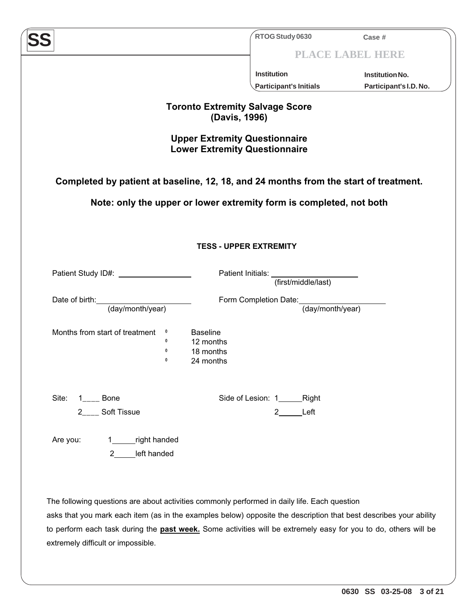| Completed by patient at baseline, 12, 18, and 24 months from the start of treatment.                                                                                                                              | <b>Institution</b><br><b>Participant's Initials</b><br><b>Toronto Extremity Salvage Score</b><br>(Davis, 1996)<br><b>Upper Extremity Questionnaire</b><br><b>Lower Extremity Questionnaire</b><br>Note: only the upper or lower extremity form is completed, not both | PLACE LABEL HERE<br><b>Institution No.</b> |
|-------------------------------------------------------------------------------------------------------------------------------------------------------------------------------------------------------------------|-----------------------------------------------------------------------------------------------------------------------------------------------------------------------------------------------------------------------------------------------------------------------|--------------------------------------------|
|                                                                                                                                                                                                                   |                                                                                                                                                                                                                                                                       |                                            |
|                                                                                                                                                                                                                   |                                                                                                                                                                                                                                                                       | Participant's I.D. No.                     |
|                                                                                                                                                                                                                   |                                                                                                                                                                                                                                                                       |                                            |
|                                                                                                                                                                                                                   |                                                                                                                                                                                                                                                                       |                                            |
|                                                                                                                                                                                                                   |                                                                                                                                                                                                                                                                       |                                            |
|                                                                                                                                                                                                                   |                                                                                                                                                                                                                                                                       |                                            |
|                                                                                                                                                                                                                   |                                                                                                                                                                                                                                                                       |                                            |
|                                                                                                                                                                                                                   |                                                                                                                                                                                                                                                                       |                                            |
|                                                                                                                                                                                                                   |                                                                                                                                                                                                                                                                       |                                            |
|                                                                                                                                                                                                                   | <b>TESS - UPPER EXTREMITY</b>                                                                                                                                                                                                                                         |                                            |
|                                                                                                                                                                                                                   |                                                                                                                                                                                                                                                                       |                                            |
| Patient Study ID#: <u>_______________</u>                                                                                                                                                                         | Patient Initials: Unital Patient Initials:                                                                                                                                                                                                                            |                                            |
|                                                                                                                                                                                                                   | (first/middle/last)                                                                                                                                                                                                                                                   |                                            |
| Date of birth:                                                                                                                                                                                                    | Form Completion Date: (day/month/year)                                                                                                                                                                                                                                |                                            |
| (day/month/year)                                                                                                                                                                                                  |                                                                                                                                                                                                                                                                       |                                            |
| Months from start of treatment<br><b>Baseline</b><br>$\bf{0}$                                                                                                                                                     |                                                                                                                                                                                                                                                                       |                                            |
| $\mathbf 0$<br>12 months<br>18 months<br>0                                                                                                                                                                        |                                                                                                                                                                                                                                                                       |                                            |
| 0<br>24 months                                                                                                                                                                                                    |                                                                                                                                                                                                                                                                       |                                            |
|                                                                                                                                                                                                                   |                                                                                                                                                                                                                                                                       |                                            |
| Site:<br><b>Bone</b>                                                                                                                                                                                              | Side of Lesion: 1<br>Right                                                                                                                                                                                                                                            |                                            |
| <b>Soft Tissue</b><br>2                                                                                                                                                                                           | Left<br>2                                                                                                                                                                                                                                                             |                                            |
|                                                                                                                                                                                                                   |                                                                                                                                                                                                                                                                       |                                            |
| right handed<br>Are you:                                                                                                                                                                                          |                                                                                                                                                                                                                                                                       |                                            |
| left handed<br>2 <sup>1</sup>                                                                                                                                                                                     |                                                                                                                                                                                                                                                                       |                                            |
|                                                                                                                                                                                                                   |                                                                                                                                                                                                                                                                       |                                            |
|                                                                                                                                                                                                                   |                                                                                                                                                                                                                                                                       |                                            |
|                                                                                                                                                                                                                   |                                                                                                                                                                                                                                                                       |                                            |
| The following questions are about activities commonly performed in daily life. Each question<br>asks that you mark each item (as in the examples below) opposite the description that best describes your ability |                                                                                                                                                                                                                                                                       |                                            |
|                                                                                                                                                                                                                   |                                                                                                                                                                                                                                                                       |                                            |
| to perform each task during the <b>past week</b> . Some activities will be extremely easy for you to do, others will be<br>extremely difficult or impossible.                                                     |                                                                                                                                                                                                                                                                       |                                            |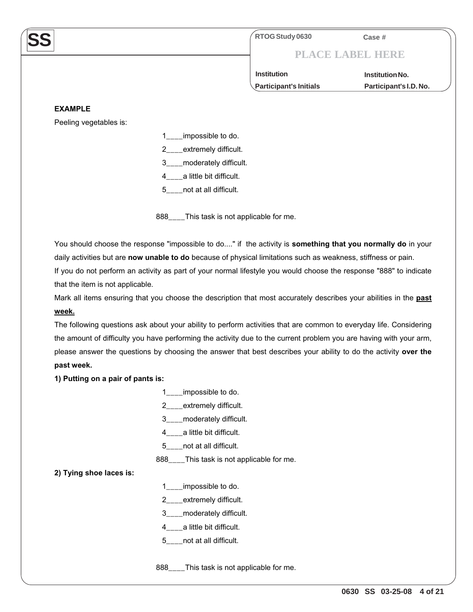**RTOG Study 0630 Case #**

# **PLACE LABEL HERE**

**Participant's Initials Participant's I.D. No. Institution Institution No.**

#### **EXAMPLE**

**SS**

Peeling vegetables is:

- 1\_\_\_\_impossible to do.
- 2 extremely difficult.
- 3\_\_\_\_moderately difficult.
- 4\_\_\_\_a little bit difficult.
- 5\_\_\_\_not at all difficult.

888\_\_\_\_This task is not applicable for me.

You should choose the response "impossible to do...." if the activity is **something that you normally do** in your daily activities but are **now unable to do** because of physical limitations such as weakness, stiffness or pain.

If you do not perform an activity as part of your normal lifestyle you would choose the response "888" to indicate that the item is not applicable.

Mark all items ensuring that you choose the description that most accurately describes your abilities in the **past week.**

The following questions ask about your ability to perform activities that are common to everyday life. Considering the amount of difficulty you have performing the activity due to the current problem you are having with your arm, please answer the questions by choosing the answer that best describes your ability to do the activity **over the past week.** 

**1) Putting on a pair of pants is:**

- 1 impossible to do.
- 2\_\_\_\_extremely difficult.
- 3\_\_\_\_moderately difficult.
- 4\_\_\_\_a little bit difficult.
- 5\_\_\_\_not at all difficult.
- 888\_\_\_\_This task is not applicable for me.

## **2) Tying shoe laces is:**

- 1\_\_\_\_impossible to do.
- 2\_\_\_\_extremely difficult.
- 3\_\_\_\_moderately difficult.
- 4\_\_\_\_a little bit difficult.
- 5\_\_\_\_not at all difficult.

888\_\_\_\_This task is not applicable for me.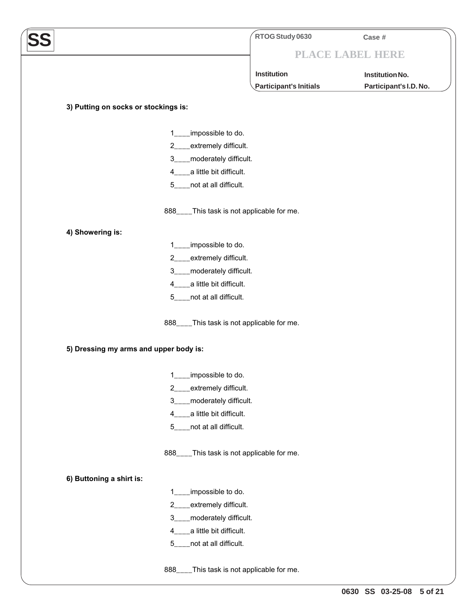|                                        | RTOG Study 0630                            | Case #                 |
|----------------------------------------|--------------------------------------------|------------------------|
|                                        |                                            | PLACE LABEL HERE       |
|                                        | Institution                                | Institution No.        |
|                                        | Participant's Initials                     | Participant's I.D. No. |
|                                        |                                            |                        |
| 3) Putting on socks or stockings is:   |                                            |                        |
| 1.                                     | impossible to do.                          |                        |
| $\mathbf{2}$                           | extremely difficult.                       |                        |
| 3                                      | moderately difficult.                      |                        |
| 4                                      | a little bit difficult.                    |                        |
|                                        | 5____not at all difficult.                 |                        |
|                                        | 888____This task is not applicable for me. |                        |
| 4) Showering is:                       |                                            |                        |
| 1.                                     | impossible to do.                          |                        |
| 2                                      | extremely difficult.                       |                        |
| 3                                      | moderately difficult.                      |                        |
| 4                                      | a little bit difficult.                    |                        |
| $5 -$                                  | _not at all difficult.                     |                        |
|                                        | 888____This task is not applicable for me. |                        |
| 5) Dressing my arms and upper body is: |                                            |                        |
|                                        | 1___impossible to do.                      |                        |
| 2                                      | extremely difficult.                       |                        |
| 3                                      | moderately difficult.                      |                        |
| 4                                      | a little bit difficult.                    |                        |
| 5                                      | not at all difficult.                      |                        |
|                                        | 888____This task is not applicable for me. |                        |
| 6) Buttoning a shirt is:               |                                            |                        |
| 1.                                     | impossible to do.                          |                        |
| 2                                      | extremely difficult.                       |                        |
| $3_{-}$                                | _moderately difficult.                     |                        |
| 4                                      | a little bit difficult.                    |                        |
| 5                                      | not at all difficult.                      |                        |
| $888$ <sub>---</sub>                   | This task is not applicable for me.        |                        |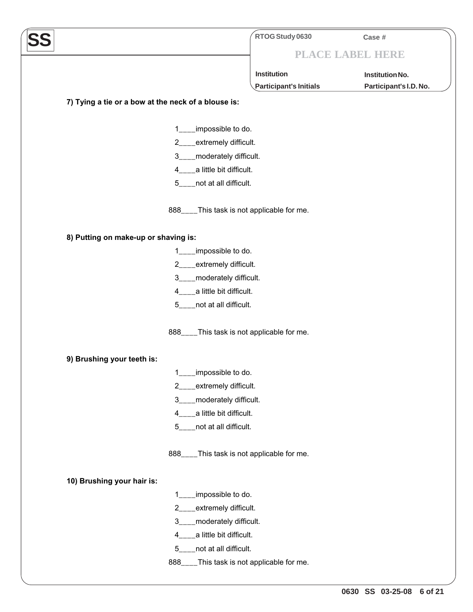|                                                     | RTOG Study 0630        | Case #                 |
|-----------------------------------------------------|------------------------|------------------------|
|                                                     | PLACE LABEL HERE       |                        |
|                                                     | Institution            | Institution No.        |
|                                                     | Participant's Initials | Participant's I.D. No. |
| 7) Tying a tie or a bow at the neck of a blouse is: |                        |                        |
|                                                     |                        |                        |
| impossible to do.<br>1                              |                        |                        |
| 2 <sup>2</sup><br>extremely difficult.              |                        |                        |
| _moderately difficult.<br>$3^{\circ}$               |                        |                        |
| _a little bit difficult.<br>$4 \quad$               |                        |                        |
| 5____not at all difficult.                          |                        |                        |
| 888____This task is not applicable for me.          |                        |                        |
| 8) Putting on make-up or shaving is:                |                        |                        |
| impossible to do.<br>1.                             |                        |                        |
| 2___extremely difficult.                            |                        |                        |
| 3____moderately difficult.                          |                        |                        |
| 4 <sub>___</sub> _a little bit difficult.           |                        |                        |
| _not at all difficult.<br>$5 -$                     |                        |                        |
| 888____This task is not applicable for me.          |                        |                        |
| 9) Brushing your teeth is:                          |                        |                        |
| $\mathbf{1}$<br>impossible to do.                   |                        |                        |
| 2___extremely difficult.                            |                        |                        |
| 3____moderately difficult.                          |                        |                        |
| 4____a little bit difficult.                        |                        |                        |
| 5____not at all difficult.                          |                        |                        |
| 888____This task is not applicable for me.          |                        |                        |
| 10) Brushing your hair is:                          |                        |                        |
| impossible to do.<br>1.                             |                        |                        |
| _extremely difficult.<br>2 <sup>2</sup>             |                        |                        |
| _moderately difficult.<br>3                         |                        |                        |
| 4____a little bit difficult.                        |                        |                        |
| 5____not at all difficult.                          |                        |                        |
| 888____This task is not applicable for me.          |                        |                        |
|                                                     |                        |                        |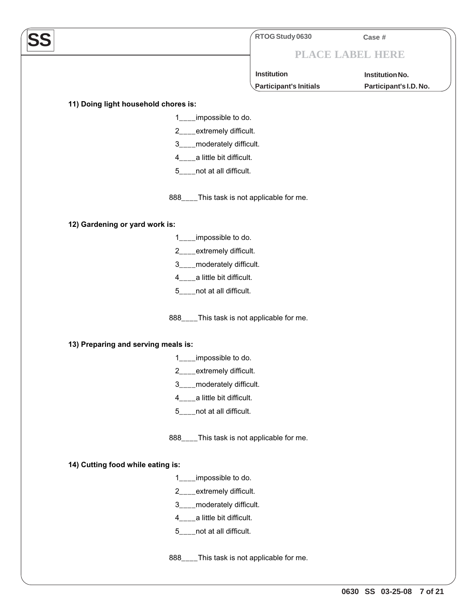|                                                                | RTOG Study 0630                            | Case #                 |
|----------------------------------------------------------------|--------------------------------------------|------------------------|
|                                                                |                                            | PLACE LABEL HERE       |
|                                                                | <b>Institution</b>                         | Institution No.        |
|                                                                | Participant's Initials                     | Participant's I.D. No. |
|                                                                |                                            |                        |
| 11) Doing light household chores is:<br>impossible to do.<br>1 |                                            |                        |
| $2 \quad$                                                      | extremely difficult.                       |                        |
| $3-$                                                           | moderately difficult.                      |                        |
| 4____a little bit difficult.                                   |                                            |                        |
| 5____not at all difficult.                                     |                                            |                        |
|                                                                | 888____This task is not applicable for me. |                        |
| 12) Gardening or yard work is:                                 |                                            |                        |
| impossible to do.<br>1                                         |                                            |                        |
| $2 \qquad \qquad$                                              | _extremely difficult.                      |                        |
| 3____moderately difficult.                                     |                                            |                        |
| 4____a little bit difficult.                                   |                                            |                        |
| 5____not at all difficult.                                     |                                            |                        |
|                                                                | 888____This task is not applicable for me. |                        |
| 13) Preparing and serving meals is:                            |                                            |                        |
| impossible to do.<br>1                                         |                                            |                        |
| 2                                                              | extremely difficult.                       |                        |
| $3_{-}$                                                        | moderately difficult.                      |                        |
| a little bit difficult.<br>$4_{-}$                             |                                            |                        |
| _not at all difficult.<br>5 <sub>1</sub>                       |                                            |                        |
|                                                                | 888____This task is not applicable for me. |                        |
| 14) Cutting food while eating is:                              |                                            |                        |
| impossible to do.<br>$\mathbf{1}$                              |                                            |                        |
| $2 \quad$                                                      | extremely difficult.                       |                        |
| 3____moderately difficult.                                     |                                            |                        |
| 4___a little bit difficult.                                    |                                            |                        |
| not at all difficult.<br>5 <sub>1</sub>                        |                                            |                        |
| $888$ <sub>___</sub>                                           | _This task is not applicable for me.       |                        |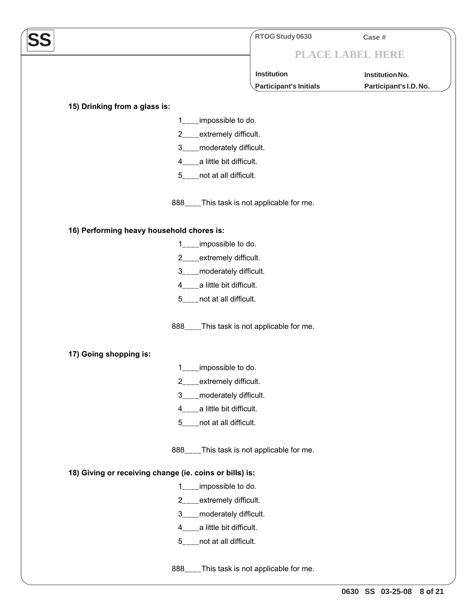|                                                         | RTOG Study 0630                     | Case #                 |
|---------------------------------------------------------|-------------------------------------|------------------------|
|                                                         | PLACE LABEL HERE                    |                        |
|                                                         | Institution                         | Institution No.        |
|                                                         | Participant's Initials              | Participant's I.D. No. |
| 15) Drinking from a glass is:                           |                                     |                        |
| _impossible to do.<br>1.                                |                                     |                        |
| 2___extremely difficult.                                |                                     |                        |
| 3____moderately difficult.                              |                                     |                        |
| 4 <sub>____</sub> a little bit difficult.               |                                     |                        |
| 5____not at all difficult.                              |                                     |                        |
| 888____This task is not applicable for me.              |                                     |                        |
| 16) Performing heavy household chores is:               |                                     |                        |
| 1___impossible to do.                                   |                                     |                        |
| 2___extremely difficult.                                |                                     |                        |
| 3____moderately difficult.                              |                                     |                        |
| 4____a little bit difficult.                            |                                     |                        |
| 5____not at all difficult.                              |                                     |                        |
| 888____This task is not applicable for me.              |                                     |                        |
| 17) Going shopping is:                                  |                                     |                        |
| impossible to do.<br>1                                  |                                     |                        |
| extremely difficult.<br>$2^{\circ}$                     |                                     |                        |
| 3____moderately difficult.                              |                                     |                        |
| 4____a little bit difficult.                            |                                     |                        |
| 5____not at all difficult.                              |                                     |                        |
| 888____This task is not applicable for me.              |                                     |                        |
| 18) Giving or receiving change (ie. coins or bills) is: |                                     |                        |
| 1___impossible to do.                                   |                                     |                        |
| 2___extremely difficult.                                |                                     |                        |
| 3____moderately difficult.                              |                                     |                        |
| 4____a little bit difficult.                            |                                     |                        |
| 5____not at all difficult.                              |                                     |                        |
| $888$ <sub>___</sub>                                    | This task is not applicable for me. |                        |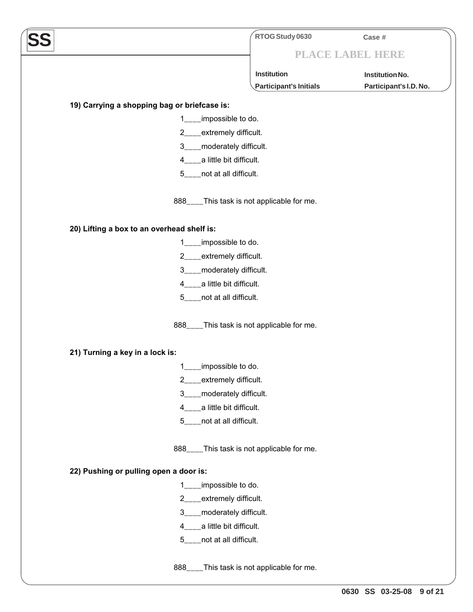|                                                 | RTOG Study 0630                     | Case #                 |
|-------------------------------------------------|-------------------------------------|------------------------|
|                                                 |                                     | PLACE LABEL HERE       |
|                                                 |                                     |                        |
|                                                 | <b>Institution</b>                  | Institution No.        |
|                                                 | Participant's Initials              | Participant's I.D. No. |
| 19) Carrying a shopping bag or briefcase is:    |                                     |                        |
| impossible to do.<br>1.                         |                                     |                        |
| _extremely difficult.<br>$2 \quad \blacksquare$ |                                     |                        |
| 3____moderately difficult.                      |                                     |                        |
| 4____a little bit difficult.                    |                                     |                        |
| 5____not at all difficult.                      |                                     |                        |
| 888____This task is not applicable for me.      |                                     |                        |
| 20) Lifting a box to an overhead shelf is:      |                                     |                        |
| impossible to do.                               |                                     |                        |
| 2___extremely difficult.                        |                                     |                        |
| 3____moderately difficult.                      |                                     |                        |
| 4____a little bit difficult.                    |                                     |                        |
| 5____not at all difficult.                      |                                     |                        |
| 888____This task is not applicable for me.      |                                     |                        |
| 21) Turning a key in a lock is:                 |                                     |                        |
| impossible to do.                               |                                     |                        |
| ___extremely difficult.<br>2                    |                                     |                        |
| _moderately difficult.<br>$3^{\circ}$           |                                     |                        |
| 4____a little bit difficult.                    |                                     |                        |
| _not at all difficult.<br>$5^{\circ}$           |                                     |                        |
| 888____This task is not applicable for me.      |                                     |                        |
| 22) Pushing or pulling open a door is:          |                                     |                        |
| impossible to do.<br>$1 \quad$                  |                                     |                        |
| _extremely difficult.                           |                                     |                        |
| 3____moderately difficult.                      |                                     |                        |
| 4____a little bit difficult.                    |                                     |                        |
| 5____not at all difficult.                      |                                     |                        |
| $888$ <sub>____</sub>                           | This task is not applicable for me. |                        |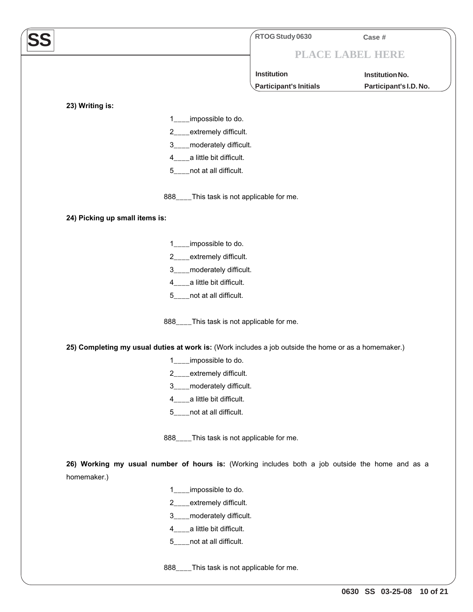**SS RTOG Study 0630 Case # PLACE LABEL HERE Participant's Initials Participant's I.D. No. Institution Institution No. 23) Writing is:** 1\_\_\_\_impossible to do. 2\_\_\_\_extremely difficult. 3\_\_\_\_moderately difficult. 4\_\_\_\_a little bit difficult. 5\_\_\_\_not at all difficult. 888\_\_\_\_This task is not applicable for me. **24) Picking up small items is:** 1\_\_\_\_impossible to do. 2 extremely difficult. 3\_\_\_\_moderately difficult. 4\_\_\_\_a little bit difficult. 5\_\_\_\_not at all difficult. 888\_\_\_\_This task is not applicable for me. **25) Completing my usual duties at work is:** (Work includes a job outside the home or as a homemaker.) 1\_\_\_\_impossible to do. 2\_\_\_\_extremely difficult. 3\_\_\_\_moderately difficult. 4\_\_\_\_a little bit difficult. 5\_\_\_\_not at all difficult. 888\_\_\_\_This task is not applicable for me. **26) Working my usual number of hours is:** (Working includes both a job outside the home and as a homemaker.) 1\_\_\_\_impossible to do. 2\_\_\_\_extremely difficult. 3\_\_\_\_moderately difficult. 4\_\_\_\_a little bit difficult. 5\_\_\_\_not at all difficult.

888\_\_\_\_This task is not applicable for me.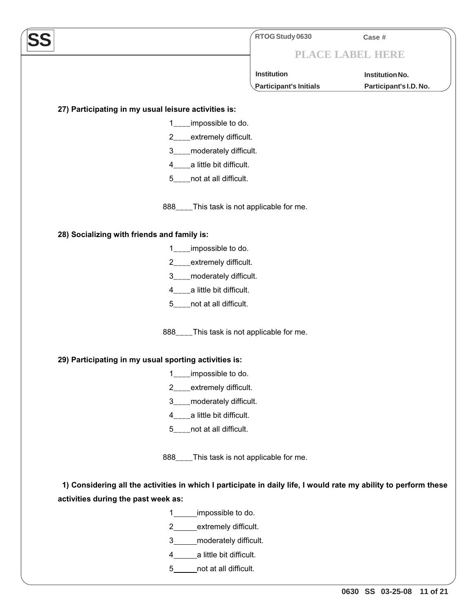|                                                                                                                  | RTOG Study 0630                            | Case #                 |
|------------------------------------------------------------------------------------------------------------------|--------------------------------------------|------------------------|
|                                                                                                                  |                                            | PLACE LABEL HERE       |
|                                                                                                                  | Institution                                | Institution No.        |
|                                                                                                                  | Participant's Initials                     | Participant's I.D. No. |
|                                                                                                                  |                                            |                        |
| 27) Participating in my usual leisure activities is:                                                             |                                            |                        |
| impossible to do.<br>1                                                                                           |                                            |                        |
| 2___extremely difficult.                                                                                         |                                            |                        |
| 3____moderately difficult.                                                                                       |                                            |                        |
| 4 <sub>____</sub> a little bit difficult.                                                                        |                                            |                        |
| 5____not at all difficult.                                                                                       |                                            |                        |
|                                                                                                                  | 888____This task is not applicable for me. |                        |
| 28) Socializing with friends and family is:                                                                      |                                            |                        |
| ___impossible to do.<br>1.                                                                                       |                                            |                        |
| 2___extremely difficult.                                                                                         |                                            |                        |
| 3____moderately difficult.                                                                                       |                                            |                        |
| 4 <sub>____</sub> a little bit difficult.                                                                        |                                            |                        |
| 5____not at all difficult.                                                                                       |                                            |                        |
|                                                                                                                  | 888____This task is not applicable for me. |                        |
| 29) Participating in my usual sporting activities is:                                                            |                                            |                        |
| 1<br>impossible to do.                                                                                           |                                            |                        |
| 2___extremely difficult.                                                                                         |                                            |                        |
| 3____moderately difficult.                                                                                       |                                            |                        |
| 4____a little bit difficult.                                                                                     |                                            |                        |
| 5____not at all difficult.                                                                                       |                                            |                        |
|                                                                                                                  | 888____This task is not applicable for me. |                        |
| 1) Considering all the activities in which I participate in daily life, I would rate my ability to perform these |                                            |                        |
| activities during the past week as:                                                                              |                                            |                        |
| impossible to do.<br>1                                                                                           |                                            |                        |
| $\overline{2}$<br>extremely difficult.                                                                           |                                            |                        |
| 3<br>moderately difficult.                                                                                       |                                            |                        |
| a little bit difficult.<br>4                                                                                     |                                            |                        |
| not at all difficult.<br>$5 -$                                                                                   |                                            |                        |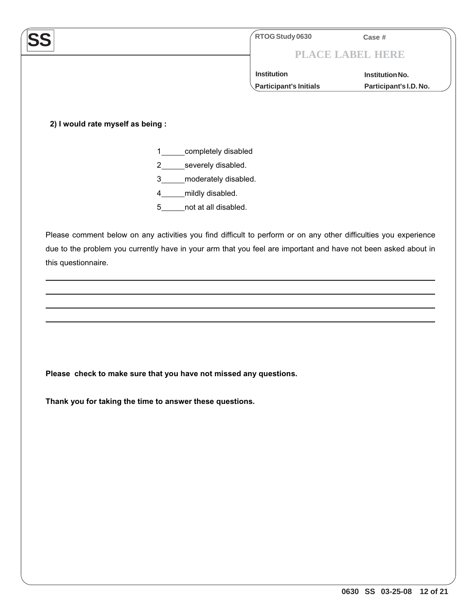|                                                          |                |                      | RTOG Study 0630                                                                                                  | Case #                  |
|----------------------------------------------------------|----------------|----------------------|------------------------------------------------------------------------------------------------------------------|-------------------------|
|                                                          |                |                      |                                                                                                                  | <b>PLACE LABEL HERE</b> |
|                                                          |                |                      | <b>Institution</b>                                                                                               | Institution No.         |
|                                                          |                |                      | <b>Participant's Initials</b>                                                                                    | Participant's I.D. No.  |
|                                                          |                |                      |                                                                                                                  |                         |
| 2) I would rate myself as being :                        |                |                      |                                                                                                                  |                         |
|                                                          |                |                      |                                                                                                                  |                         |
|                                                          | 1              | completely disabled  |                                                                                                                  |                         |
|                                                          | $\overline{2}$ | severely disabled.   |                                                                                                                  |                         |
|                                                          | 3              | moderately disabled. |                                                                                                                  |                         |
|                                                          | 4              | mildly disabled.     |                                                                                                                  |                         |
|                                                          | 5              | not at all disabled. |                                                                                                                  |                         |
|                                                          |                |                      | Please comment below on any activities you find difficult to perform or on any other difficulties you experience |                         |
|                                                          |                |                      | due to the problem you currently have in your arm that you feel are important and have not been asked about in   |                         |
|                                                          |                |                      |                                                                                                                  |                         |
| this questionnaire.                                      |                |                      |                                                                                                                  |                         |
|                                                          |                |                      |                                                                                                                  |                         |
|                                                          |                |                      |                                                                                                                  |                         |
|                                                          |                |                      |                                                                                                                  |                         |
|                                                          |                |                      |                                                                                                                  |                         |
|                                                          |                |                      |                                                                                                                  |                         |
|                                                          |                |                      |                                                                                                                  |                         |
|                                                          |                |                      |                                                                                                                  |                         |
|                                                          |                |                      |                                                                                                                  |                         |
|                                                          |                |                      |                                                                                                                  |                         |
|                                                          |                |                      | Please check to make sure that you have not missed any questions.                                                |                         |
|                                                          |                |                      |                                                                                                                  |                         |
| Thank you for taking the time to answer these questions. |                |                      |                                                                                                                  |                         |
|                                                          |                |                      |                                                                                                                  |                         |
|                                                          |                |                      |                                                                                                                  |                         |
|                                                          |                |                      |                                                                                                                  |                         |
|                                                          |                |                      |                                                                                                                  |                         |
|                                                          |                |                      |                                                                                                                  |                         |
|                                                          |                |                      |                                                                                                                  |                         |
|                                                          |                |                      |                                                                                                                  |                         |
|                                                          |                |                      |                                                                                                                  |                         |
|                                                          |                |                      |                                                                                                                  |                         |
|                                                          |                |                      |                                                                                                                  |                         |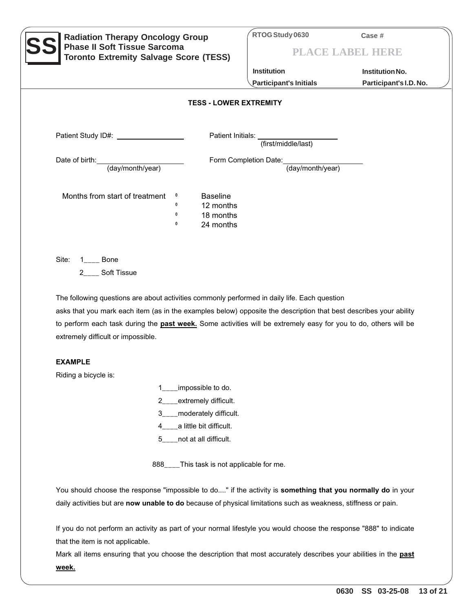| <b>Radiation Therapy Oncology Group</b><br><b>Phase II Soft Tissue Sarcoma</b><br><b>Toronto Extremity Salvage Score (TESS)</b>                                                                                                                                                                                                      | RTOG Study 0630                       | Case #<br>PLACE LABEL HERE |  |  |
|--------------------------------------------------------------------------------------------------------------------------------------------------------------------------------------------------------------------------------------------------------------------------------------------------------------------------------------|---------------------------------------|----------------------------|--|--|
|                                                                                                                                                                                                                                                                                                                                      | <b>Institution</b>                    | <b>Institution No.</b>     |  |  |
|                                                                                                                                                                                                                                                                                                                                      | <b>Participant's Initials</b>         | Participant's I.D. No.     |  |  |
| <b>TESS - LOWER EXTREMITY</b>                                                                                                                                                                                                                                                                                                        |                                       |                            |  |  |
| Patient Study ID#: \\cdot \\cdot \\cdot \\cdot \\cdot \\cdot \\cdot \\cdot \\cdot \\cdot \\cdot \\cdot \\cdot \\cdot \\cdot \\cdot \\cdot \\cdot \\cdot \\cdot \\cdot \\cdot \\cdot \\cdot \\cdot \\cdot \\cdot \\cdot \\cdot                                                                                                        | Patient Initials: (first/middle/last) |                            |  |  |
| Date of birth:                                                                                                                                                                                                                                                                                                                       | Form Completion Date:                 |                            |  |  |
| (day/month/year)                                                                                                                                                                                                                                                                                                                     | (day/month/year)                      |                            |  |  |
| Months from start of treatment<br><b>Baseline</b><br>$\mathbf{0}$<br>$\mathbf 0$<br>12 months<br>18 months<br>$\mathbf 0$<br>$\mathbf 0$<br>24 months<br>Site:<br><b>Bone</b>                                                                                                                                                        |                                       |                            |  |  |
| <b>Soft Tissue</b>                                                                                                                                                                                                                                                                                                                   |                                       |                            |  |  |
| The following questions are about activities commonly performed in daily life. Each question<br>asks that you mark each item (as in the examples below) opposite the description that best describes your ability<br>to perform each task during the past week. Some activities will be extremely easy for you to do, others will be |                                       |                            |  |  |

extremely difficult or impossible.

### **EXAMPLE**

Riding a bicycle is:

- 1\_\_\_\_impossible to do.
- 2\_\_\_\_extremely difficult.
- 3\_\_\_\_moderately difficult.
- 4\_\_\_\_a little bit difficult.
- 5\_\_\_\_not at all difficult.

888\_\_\_\_This task is not applicable for me.

You should choose the response "impossible to do...." if the activity is **something that you normally do** in your daily activities but are **now unable to do** because of physical limitations such as weakness, stiffness or pain.

If you do not perform an activity as part of your normal lifestyle you would choose the response "888" to indicate that the item is not applicable.

Mark all items ensuring that you choose the description that most accurately describes your abilities in the **past week.**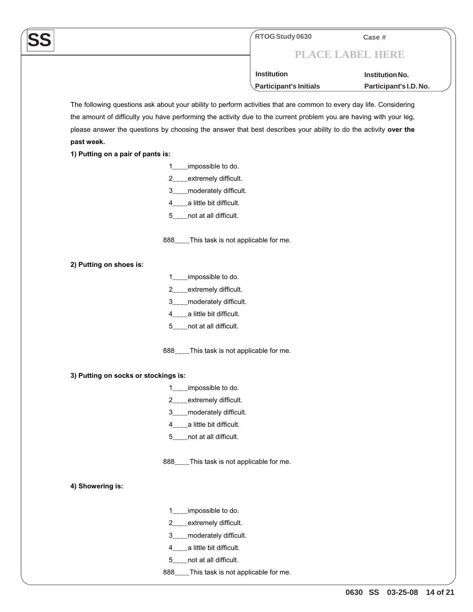## **PLACE LABEL HERE**

**Participant's Initials Participant's I.D. No. Institution Institution No.**

The following questions ask about your ability to perform activities that are common to every day life. Considering the amount of difficulty you have performing the activity due to the current problem you are having with your leg, please answer the questions by choosing the answer that best describes your ability to do the activity **over the past week.**

**1) Putting on a pair of pants is:**

- 1\_\_\_\_impossible to do.
- 2\_\_\_\_extremely difficult.
- 3\_\_\_\_moderately difficult.
- 4\_\_\_\_a little bit difficult.
- 5\_\_\_\_not at all difficult.

888\_\_\_\_This task is not applicable for me.

- **2) Putting on shoes is:**
- 1\_\_\_\_impossible to do.
- 2\_\_\_\_extremely difficult.
- 3\_\_\_\_moderately difficult.
- 4\_\_\_\_a little bit difficult.
- 5\_\_\_\_not at all difficult.

888\_\_\_\_This task is not applicable for me.

- **3) Putting on socks or stockings is:** 
	- 1\_\_\_\_impossible to do.
	- 2\_\_\_\_extremely difficult.
	- 3\_\_\_\_moderately difficult.
	- 4\_\_\_\_a little bit difficult.
	- 5\_\_\_\_not at all difficult.

888\_\_\_\_This task is not applicable for me.

**4) Showering is:**

- 1\_\_\_\_impossible to do.
- 2\_\_\_\_extremely difficult.
- 3\_\_\_\_moderately difficult.
- 4\_\_\_\_a little bit difficult.
- 5\_\_\_\_not at all difficult.
- 888\_\_\_\_This task is not applicable for me.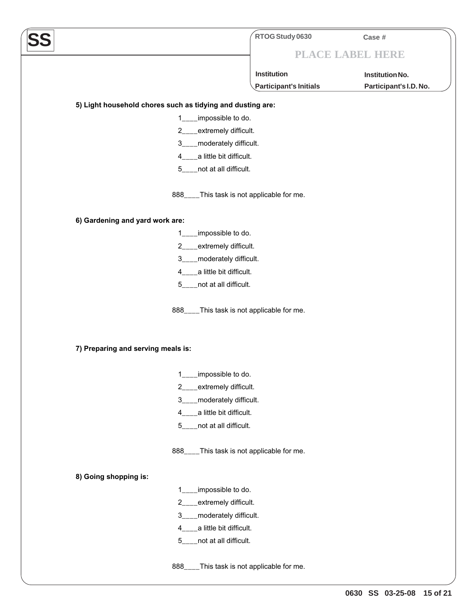|                                                            | RTOG Study 0630                     | Case #                 |
|------------------------------------------------------------|-------------------------------------|------------------------|
|                                                            |                                     | PLACE LABEL HERE       |
|                                                            | <b>Institution</b>                  | Institution No.        |
|                                                            | <b>Participant's Initials</b>       | Participant's I.D. No. |
| 5) Light household chores such as tidying and dusting are: |                                     |                        |
| impossible to do.<br>1                                     |                                     |                        |
| extremely difficult.<br>$\mathbf{2}$                       |                                     |                        |
| _moderately difficult.<br>$3 \quad \blacksquare$           |                                     |                        |
| 4 <sub>___</sub> _a little bit difficult.                  |                                     |                        |
| 5____not at all difficult.                                 |                                     |                        |
| $888$ <sub>___</sub>                                       | This task is not applicable for me. |                        |
| 6) Gardening and yard work are:                            |                                     |                        |
| impossible to do.<br>1                                     |                                     |                        |
| extremely difficult.<br>2                                  |                                     |                        |
| _moderately difficult.<br>$3^{\circ}$                      |                                     |                        |
| _a little bit difficult.<br>4                              |                                     |                        |
| not at all difficult.<br>5                                 |                                     |                        |
| $888$ <sub>___</sub>                                       | This task is not applicable for me. |                        |
| 7) Preparing and serving meals is:                         |                                     |                        |
| 1___impossible to do.                                      |                                     |                        |
| _extremely difficult.<br>2                                 |                                     |                        |
| moderately difficult.<br>$3_{-}$                           |                                     |                        |
| 4____a little bit difficult.                               |                                     |                        |
| 5____not at all difficult.                                 |                                     |                        |
| $888$ <sub>___</sub>                                       | This task is not applicable for me. |                        |
| 8) Going shopping is:                                      |                                     |                        |
| impossible to do.<br>1                                     |                                     |                        |
| extremely difficult.<br>$\overline{2}$                     |                                     |                        |
| moderately difficult.<br>3                                 |                                     |                        |
| a little bit difficult.<br>4                               |                                     |                        |
| not at all difficult.<br>5                                 |                                     |                        |
| $888$ <sub>___</sub>                                       | This task is not applicable for me. |                        |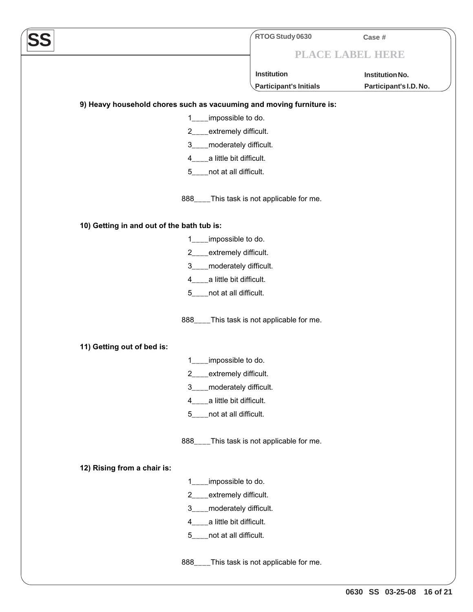|                                                                       | RTOG Study 0630                            | Case #                 |
|-----------------------------------------------------------------------|--------------------------------------------|------------------------|
|                                                                       |                                            | PLACE LABEL HERE       |
|                                                                       | <b>Institution</b>                         | Institution No.        |
|                                                                       | Participant's Initials                     | Participant's I.D. No. |
| 9) Heavy household chores such as vacuuming and moving furniture is:  |                                            |                        |
| impossible to do.<br>1.                                               |                                            |                        |
| extremely difficult.<br>$2$ <sub>_</sub>                              |                                            |                        |
| moderately difficult.<br>$3_{-}$                                      |                                            |                        |
| a little bit difficult.<br>4                                          |                                            |                        |
| 5____not at all difficult.                                            |                                            |                        |
|                                                                       |                                            |                        |
| $888$ <sub>___</sub>                                                  | This task is not applicable for me.        |                        |
|                                                                       |                                            |                        |
| 10) Getting in and out of the bath tub is:                            |                                            |                        |
| impossible to do.<br>1.                                               |                                            |                        |
| extremely difficult.<br>$2 \quad$<br>moderately difficult.<br>$3_{-}$ |                                            |                        |
| a little bit difficult.<br>4                                          |                                            |                        |
| not at all difficult.<br>$5 -$                                        |                                            |                        |
|                                                                       |                                            |                        |
|                                                                       | 888____This task is not applicable for me. |                        |
|                                                                       |                                            |                        |
| 11) Getting out of bed is:                                            |                                            |                        |
| impossible to do.                                                     |                                            |                        |
| 2___extremely difficult.                                              |                                            |                        |
| moderately difficult.<br>3                                            |                                            |                        |
| a little bit difficult.<br>4                                          |                                            |                        |
| not at all difficult.<br>5                                            |                                            |                        |
|                                                                       |                                            |                        |
| 888                                                                   | This task is not applicable for me.        |                        |
| 12) Rising from a chair is:                                           |                                            |                        |
| impossible to do.<br>1                                                |                                            |                        |
| extremely difficult.<br>$\overline{2}$                                |                                            |                        |
| 3<br>_moderately difficult.                                           |                                            |                        |
| a little bit difficult.<br>4                                          |                                            |                        |
| not at all difficult.<br>5                                            |                                            |                        |
|                                                                       |                                            |                        |
| 888                                                                   | This task is not applicable for me.        |                        |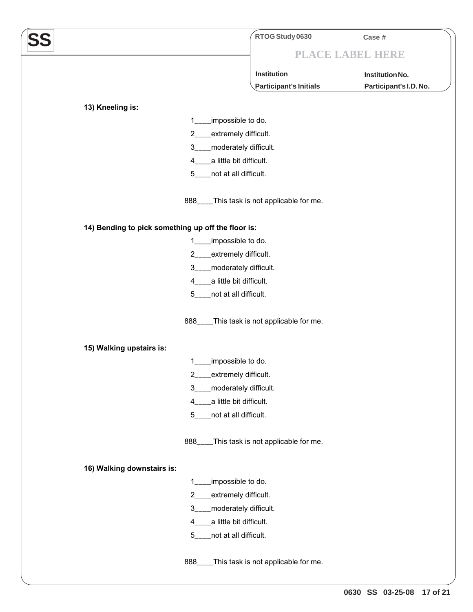| SS |                                                    | RTOG Study 0630                           | Case #                 |
|----|----------------------------------------------------|-------------------------------------------|------------------------|
|    |                                                    | PLACE LABEL HERE                          |                        |
|    |                                                    | Institution                               | Institution No.        |
|    |                                                    | Participant's Initials                    | Participant's I.D. No. |
|    |                                                    |                                           |                        |
|    | 13) Kneeling is:<br>impossible to do.<br>1         |                                           |                        |
|    | 2___extremely difficult.                           |                                           |                        |
|    | 3____moderately difficult.                         |                                           |                        |
|    | 4 <sub>___</sub> __a little bit difficult.         |                                           |                        |
|    | 5____not at all difficult.                         |                                           |                        |
|    |                                                    | 888___This task is not applicable for me. |                        |
|    | 14) Bending to pick something up off the floor is: |                                           |                        |
|    | impossible to do.<br>$1 \quad$                     |                                           |                        |
|    | 2___extremely difficult.                           |                                           |                        |
|    | 3____moderately difficult.                         |                                           |                        |
|    | 4 <sub>___</sub> __a little bit difficult.         |                                           |                        |
|    | 5____not at all difficult.                         |                                           |                        |
|    |                                                    | 888___This task is not applicable for me. |                        |
|    | 15) Walking upstairs is:                           |                                           |                        |
|    | impossible to do.                                  |                                           |                        |
|    | 2<br>extremely difficult.                          |                                           |                        |
|    | 3____moderately difficult.                         |                                           |                        |
|    | 4 <sub>___</sub> __a little bit difficult.         |                                           |                        |
|    | 5____not at all difficult.                         |                                           |                        |
|    |                                                    | 888___This task is not applicable for me. |                        |
|    | 16) Walking downstairs is:                         |                                           |                        |
|    | 1___impossible to do.                              |                                           |                        |
|    | 2___extremely difficult.                           |                                           |                        |
|    | 3____moderately difficult.                         |                                           |                        |
|    | 4 <sub>___</sub> __a little bit difficult.         |                                           |                        |
|    | 5____not at all difficult.                         |                                           |                        |
|    |                                                    | 888___This task is not applicable for me. |                        |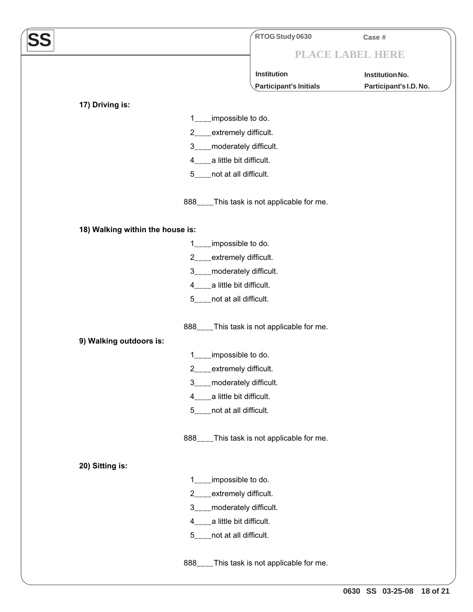|                                  | RTOG Study 0630                            | Case #                 |
|----------------------------------|--------------------------------------------|------------------------|
|                                  |                                            | PLACE LABEL HERE       |
|                                  | Institution                                | Institution No.        |
|                                  | Participant's Initials                     | Participant's I.D. No. |
| 17) Driving is:                  |                                            |                        |
| 1                                | impossible to do.                          |                        |
| $2 \nightharpoonup$              | extremely difficult.                       |                        |
| $3_{-}$                          | moderately difficult.                      |                        |
| 4                                | a little bit difficult.                    |                        |
| 5                                | not at all difficult.                      |                        |
| 888                              | This task is not applicable for me.        |                        |
| 18) Walking within the house is: |                                            |                        |
| 1                                | impossible to do.                          |                        |
| $\overline{2}$                   | extremely difficult.                       |                        |
| 3                                | moderately difficult.                      |                        |
| 4                                | a little bit difficult.                    |                        |
| 5                                | not at all difficult.                      |                        |
| 888                              | This task is not applicable for me.        |                        |
| 9) Walking outdoors is:          |                                            |                        |
| 1                                | impossible to do.                          |                        |
| 2                                | extremely difficult.                       |                        |
| $3_{-}$                          | moderately difficult.                      |                        |
| 4                                | a little bit difficult.                    |                        |
| 5                                | not at all difficult.                      |                        |
| $888$ <sub>---</sub>             | This task is not applicable for me.        |                        |
| 20) Sitting is:                  |                                            |                        |
| 1                                | impossible to do.                          |                        |
| $\overline{2}$                   | extremely difficult.                       |                        |
| $3_{-}$                          | _moderately difficult.                     |                        |
| 4                                | a little bit difficult.                    |                        |
| 5                                | not at all difficult.                      |                        |
|                                  | 888____This task is not applicable for me. |                        |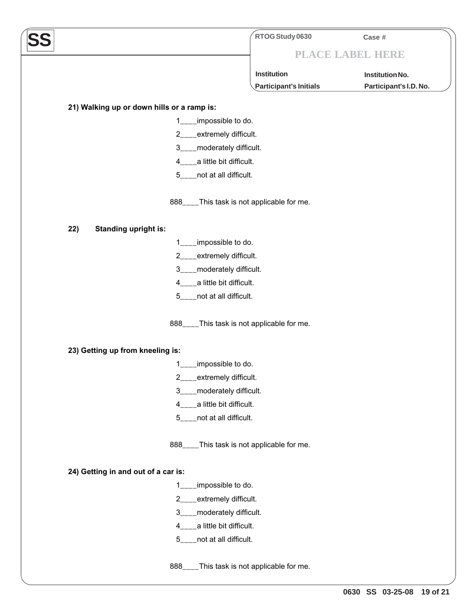|                                                                      | RTOG Study 0630        | Case #                 |
|----------------------------------------------------------------------|------------------------|------------------------|
|                                                                      |                        | PLACE LABEL HERE       |
|                                                                      | Institution            | <b>Institution No.</b> |
|                                                                      | Participant's Initials | Participant's I.D. No. |
|                                                                      |                        |                        |
| 21) Walking up or down hills or a ramp is:<br>impossible to do.<br>1 |                        |                        |
| _extremely difficult.<br>$2 \qquad \qquad$                           |                        |                        |
| _moderately difficult.<br>$3^{\circ}$                                |                        |                        |
| 4____a little bit difficult.                                         |                        |                        |
| 5____not at all difficult.                                           |                        |                        |
|                                                                      |                        |                        |
| 888____This task is not applicable for me.                           |                        |                        |
| <b>Standing upright is:</b><br>22)                                   |                        |                        |
| impossible to do.<br>1                                               |                        |                        |
| 2 <sup>2</sup><br>_extremely difficult.                              |                        |                        |
| _moderately difficult.<br>3 <sub>1</sub>                             |                        |                        |
| a little bit difficult.<br>$4 \quad$                                 |                        |                        |
| _not at all difficult.<br>$5 -$                                      |                        |                        |
| 888____This task is not applicable for me.                           |                        |                        |
| 23) Getting up from kneeling is:                                     |                        |                        |
| impossible to do.<br>1                                               |                        |                        |
| 2<br>extremely difficult.                                            |                        |                        |
| 3<br>moderately difficult.                                           |                        |                        |
| _a little bit difficult.<br>$4 \quad$                                |                        |                        |
| _not at all difficult.<br>$5 -$                                      |                        |                        |
| 888____This task is not applicable for me.                           |                        |                        |
| 24) Getting in and out of a car is:                                  |                        |                        |
| impossible to do.<br>1                                               |                        |                        |
| extremely difficult.<br>2                                            |                        |                        |
| _moderately difficult.<br>3 <sub>1</sub>                             |                        |                        |
| a little bit difficult.<br>$\overline{4}$                            |                        |                        |
| 5 <sub>1</sub><br>not at all difficult.                              |                        |                        |
| 888____This task is not applicable for me.                           |                        |                        |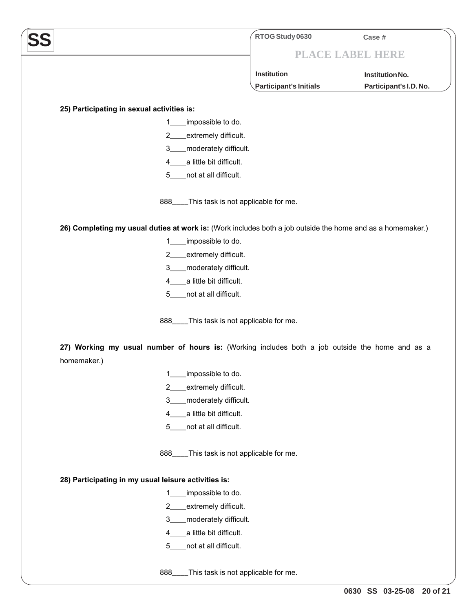|                                                                                                            | RTOG Study 0630        | Case #                 |
|------------------------------------------------------------------------------------------------------------|------------------------|------------------------|
|                                                                                                            |                        | PLACE LABEL HERE       |
|                                                                                                            | <b>Institution</b>     | Institution No.        |
|                                                                                                            | Participant's Initials | Participant's I.D. No. |
|                                                                                                            |                        |                        |
| 25) Participating in sexual activities is:                                                                 |                        |                        |
| impossible to do.                                                                                          |                        |                        |
| _extremely difficult.<br>$2 \qquad \qquad$                                                                 |                        |                        |
| _moderately difficult.<br>$3^{\circ}$                                                                      |                        |                        |
| 4____a little bit difficult.                                                                               |                        |                        |
| 5____not at all difficult.                                                                                 |                        |                        |
| 888____This task is not applicable for me.                                                                 |                        |                        |
| 26) Completing my usual duties at work is: (Work includes both a job outside the home and as a homemaker.) |                        |                        |
| impossible to do.<br>1.                                                                                    |                        |                        |
| 2___extremely difficult.                                                                                   |                        |                        |
| 3____moderately difficult.                                                                                 |                        |                        |
| 4____a little bit difficult.                                                                               |                        |                        |
| 5____not at all difficult.                                                                                 |                        |                        |
| 888____This task is not applicable for me.                                                                 |                        |                        |
| 27) Working my usual number of hours is: (Working includes both a job outside the home and as a            |                        |                        |
| homemaker.)                                                                                                |                        |                        |
| impossible to do.<br>1                                                                                     |                        |                        |
| extremely difficult.<br>$\overline{2}$                                                                     |                        |                        |
| _moderately difficult.<br>3                                                                                |                        |                        |
| a little bit difficult.<br>4                                                                               |                        |                        |
| not at all difficult.<br>5                                                                                 |                        |                        |
| 888____This task is not applicable for me.                                                                 |                        |                        |
| 28) Participating in my usual leisure activities is:                                                       |                        |                        |
| impossible to do.                                                                                          |                        |                        |
| extremely difficult.<br>$\overline{2}$                                                                     |                        |                        |
| moderately difficult.<br>3                                                                                 |                        |                        |
| a little bit difficult.<br>4                                                                               |                        |                        |
| not at all difficult.<br>5                                                                                 |                        |                        |
|                                                                                                            |                        |                        |

888\_\_\_\_This task is not applicable for me.